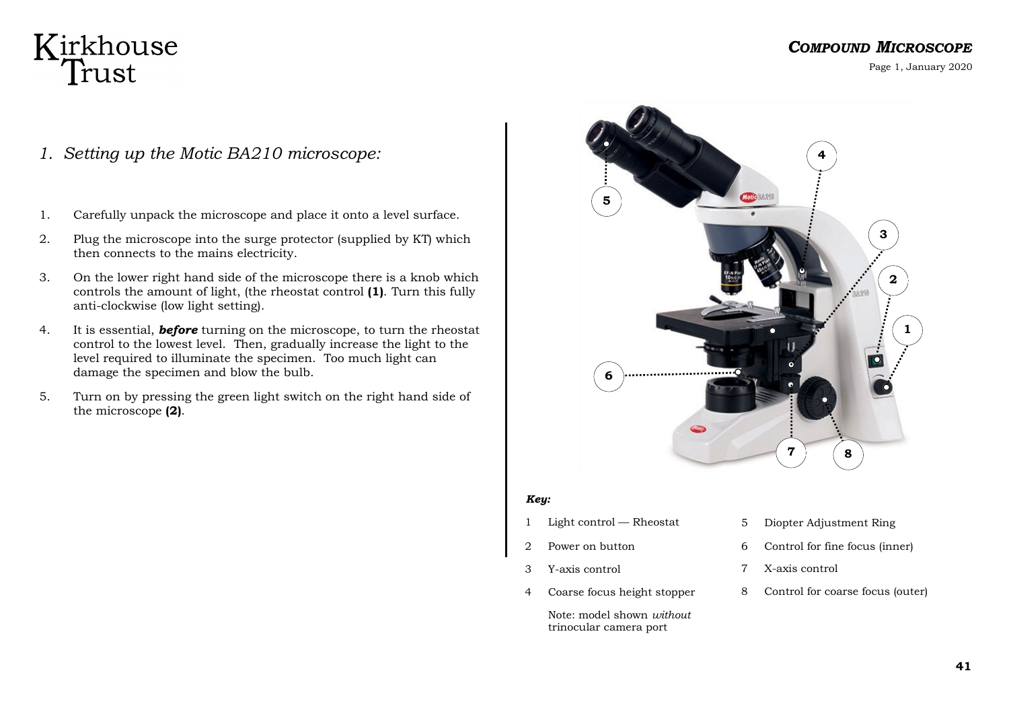### Kirkhouse Trust

#### *COMPOUND MICROSCOPE*

Page 1, January 2020

- *1. Setting up the Motic BA210 microscope:*
- 1. Carefully unpack the microscope and place it onto a level surface.
- 2. Plug the microscope into the surge protector (supplied by KT) which then connects to the mains electricity.
- 3. On the lower right hand side of the microscope there is a knob which controls the amount of light, (the rheostat control **(1)**. Turn this fully anti-clockwise (low light setting).
- 4. It is essential, *before* turning on the microscope, to turn the rheostat control to the lowest level. Then, gradually increase the light to the level required to illuminate the specimen. Too much light can damage the specimen and blow the bulb.
- 5. Turn on by pressing the green light switch on the right hand side of the microscope **(2)**.



#### *Key:*

- 1 Light control Rheostat
- 2 Power on button
- 3 Y-axis control
- 4 Coarse focus height stopper

Note: model shown *without*  trinocular camera port

- 5 Diopter Adjustment Ring
- 6 Control for fine focus (inner)
- 7 X-axis control
- 8 Control for coarse focus (outer)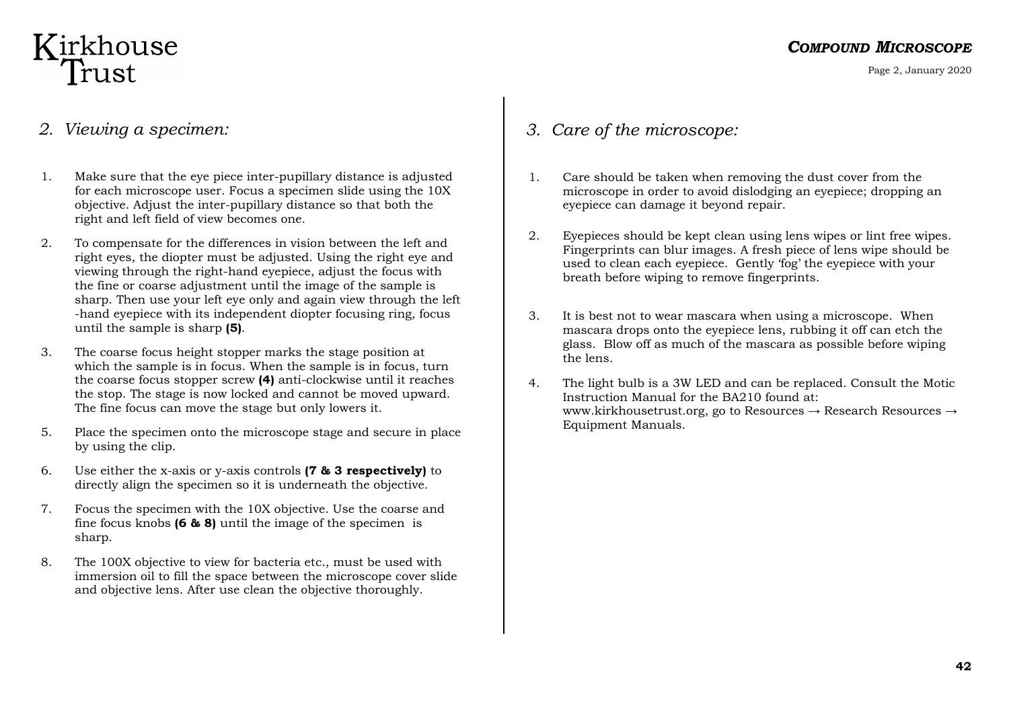# Kirkhouse<br>Trust

Page 2, January 2020

#### *2. Viewing a specimen:*

- 1. Make sure that the eye piece inter-pupillary distance is adjusted for each microscope user. Focus a specimen slide using the 10X objective. Adjust the inter-pupillary distance so that both the right and left field of view becomes one.
- 2. To compensate for the differences in vision between the left and right eyes, the diopter must be adjusted. Using the right eye and viewing through the right-hand eyepiece, adjust the focus with the fine or coarse adjustment until the image of the sample is sharp. Then use your left eye only and again view through the left -hand eyepiece with its independent diopter focusing ring, focus until the sample is sharp **(5)**.
- 3. The coarse focus height stopper marks the stage position at which the sample is in focus. When the sample is in focus, turn the coarse focus stopper screw **(4)** anti-clockwise until it reaches the stop. The stage is now locked and cannot be moved upward. The fine focus can move the stage but only lowers it.
- 5. Place the specimen onto the microscope stage and secure in place by using the clip.
- 6. Use either the x-axis or y-axis controls **(7 & 3 respectively)** to directly align the specimen so it is underneath the objective.
- 7. Focus the specimen with the 10X objective. Use the coarse and fine focus knobs **(6 & 8)** until the image of the specimen is sharp.
- 8. The 100X objective to view for bacteria etc., must be used with immersion oil to fill the space between the microscope cover slide and objective lens. After use clean the objective thoroughly.

#### *3. Care of the microscope:*

- 1. Care should be taken when removing the dust cover from the microscope in order to avoid dislodging an eyepiece; dropping an eyepiece can damage it beyond repair.
- 2. Eyepieces should be kept clean using lens wipes or lint free wipes. Fingerprints can blur images. A fresh piece of lens wipe should be used to clean each eyepiece. Gently 'fog' the eyepiece with your breath before wiping to remove fingerprints.
- 3. It is best not to wear mascara when using a microscope. When mascara drops onto the eyepiece lens, rubbing it off can etch the glass. Blow off as much of the mascara as possible before wiping the lens.
- 4. The light bulb is a 3W LED and can be replaced. Consult the Motic Instruction Manual for the BA210 found at: www.kirkhousetrust.org, go to Resources  $\rightarrow$  Research Resources  $\rightarrow$ Equipment Manuals.